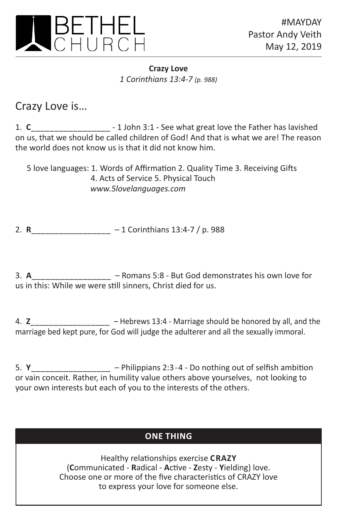

**Crazy Love** *1 Corinthians 13:4-7 (p. 988)*

Crazy Love is…

1. **C**\_\_\_\_\_\_\_\_\_\_\_\_\_\_\_\_\_ - 1 John 3:1 - See what great love the Father has lavished on us, that we should be called children of God! And that is what we are! The reason the world does not know us is that it did not know him.

5 love languages: 1. Words of Affirmation 2. Quality Time 3. Receiving Gifts 4. Acts of Service 5. Physical Touch *www.5lovelanguages.com*

2. **R**\_\_\_\_\_\_\_\_\_\_\_\_\_\_\_\_\_ – 1 Corinthians 13:4-7 / p. 988

3. **A**\_\_\_\_\_\_\_\_\_\_\_\_\_\_\_\_\_ – Romans 5:8 - But God demonstrates his own love for us in this: While we were still sinners, Christ died for us.

4. **Z**\_\_\_\_\_\_\_\_\_\_\_\_\_\_\_\_\_ – Hebrews 13:4 - Marriage should be honored by all, and the marriage bed kept pure, for God will judge the adulterer and all the sexually immoral.

5. **Y**\_\_\_\_\_\_\_\_\_\_\_\_\_\_\_\_\_ – Philippians 2:3-4 - Do nothing out of selfish ambition or vain conceit. Rather, in humility value others above yourselves, not looking to your own interests but each of you to the interests of the others.

## **ONE THING ONE THING**

Healthy relationships exercise **CRAZY** (**C**ommunicated - **R**adical - **A**ctive - **Z**esty - **Y**ielding) love. Choose one or more of the five characteristics of CRAZY love to express your love for someone else.